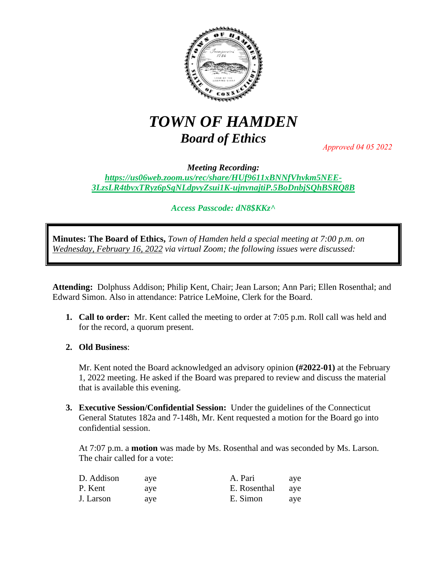

## *TOWN OF HAMDEN Board of Ethics*

*Approved 04 05 2022*

*Meeting Recording: [https://us06web.zoom.us/rec/share/HUf9611xBNNfVhvkm5NEE-](https://us06web.zoom.us/rec/share/HUf9611xBNNfVhvkm5NEE-3LzsLR4tbvxTRyz6pSgNLdpvyZsui1K-ujnvnajtiP.5BoDnbjSQhBSRQ8B)[3LzsLR4tbvxTRyz6pSgNLdpvyZsui1K-ujnvnajtiP.5BoDnbjSQhBSRQ8B](https://us06web.zoom.us/rec/share/HUf9611xBNNfVhvkm5NEE-3LzsLR4tbvxTRyz6pSgNLdpvyZsui1K-ujnvnajtiP.5BoDnbjSQhBSRQ8B)*

*Access Passcode: dN8\$KKz^*

**Minutes: The Board of Ethics,** *Town of Hamden held a special meeting at 7:00 p.m. on Wednesday, February 16, 2022 via virtual Zoom; the following issues were discussed:*

**Attending:** Dolphuss Addison; Philip Kent, Chair; Jean Larson; Ann Pari; Ellen Rosenthal; and Edward Simon. Also in attendance: Patrice LeMoine, Clerk for the Board.

**1. Call to order:** Mr. Kent called the meeting to order at 7:05 p.m. Roll call was held and for the record, a quorum present.

## **2. Old Business**:

Mr. Kent noted the Board acknowledged an advisory opinion **(#2022-01)** at the February 1, 2022 meeting. He asked if the Board was prepared to review and discuss the material that is available this evening.

**3. Executive Session/Confidential Session:** Under the guidelines of the Connecticut General Statutes 182a and 7-148h, Mr. Kent requested a motion for the Board go into confidential session.

At 7:07 p.m. a **motion** was made by Ms. Rosenthal and was seconded by Ms. Larson. The chair called for a vote:

| D. Addison | ave | A. Pari      | ave |
|------------|-----|--------------|-----|
| P. Kent    | ave | E. Rosenthal | ave |
| J. Larson  | ave | E. Simon     | ave |